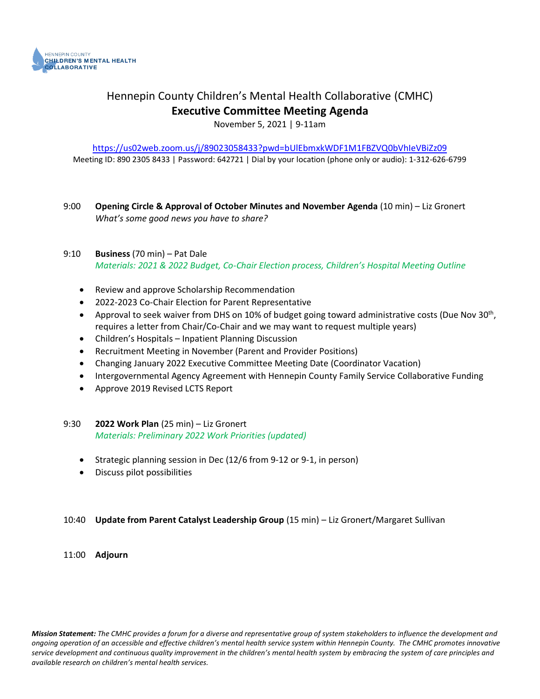

# Hennepin County Children's Mental Health Collaborative (CMHC) **Executive Committee Meeting Agenda**

November 5, 2021 | 9-11am

<https://us02web.zoom.us/j/89023058433?pwd=bUlEbmxkWDF1M1FBZVQ0bVhIeVBiZz09> Meeting ID: 890 2305 8433 | Password: 642721 | Dial by your location (phone only or audio): 1-312-626-6799

9:00 **Opening Circle & Approval of October Minutes and November Agenda** (10 min) – Liz Gronert *What's some good news you have to share?*

#### 9:10 **Business** (70 min) – Pat Dale *Materials: 2021 & 2022 Budget, Co-Chair Election process, Children's Hospital Meeting Outline*

- Review and approve Scholarship Recommendation
- 2022-2023 Co-Chair Election for Parent Representative
- Approval to seek waiver from DHS on 10% of budget going toward administrative costs (Due Nov 30<sup>th</sup>, requires a letter from Chair/Co-Chair and we may want to request multiple years)
- Children's Hospitals Inpatient Planning Discussion
- Recruitment Meeting in November (Parent and Provider Positions)
- Changing January 2022 Executive Committee Meeting Date (Coordinator Vacation)
- Intergovernmental Agency Agreement with Hennepin County Family Service Collaborative Funding
- Approve 2019 Revised LCTS Report

#### 9:30 **2022 Work Plan** (25 min) – Liz Gronert *Materials: Preliminary 2022 Work Priorities (updated)*

- Strategic planning session in Dec (12/6 from 9-12 or 9-1, in person)
- Discuss pilot possibilities

#### 10:40 **Update from Parent Catalyst Leadership Group** (15 min) – Liz Gronert/Margaret Sullivan

#### 11:00 **Adjourn**

*Mission Statement: The CMHC provides a forum for a diverse and representative group of system stakeholders to influence the development and ongoing operation of an accessible and effective children's mental health service system within Hennepin County. The CMHC promotes innovative service development and continuous quality improvement in the children's mental health system by embracing the system of care principles and available research on children's mental health services.*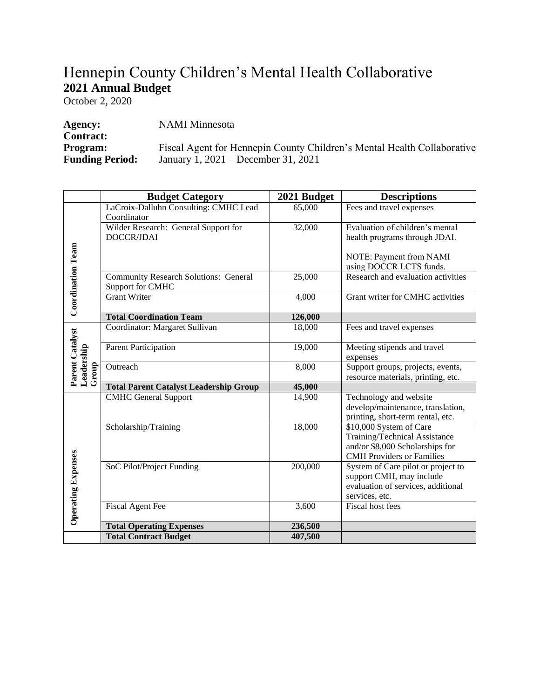# Hennepin County Children's Mental Health Collaborative **2021 Annual Budget**

October 2, 2020

| Agency:                | <b>NAMI</b> Minnesota                                                   |
|------------------------|-------------------------------------------------------------------------|
| <b>Contract:</b>       |                                                                         |
| <b>Program:</b>        | Fiscal Agent for Hennepin County Children's Mental Health Collaborative |
| <b>Funding Period:</b> | January 1, 2021 – December 31, 2021                                     |

|                                        | <b>Budget Category</b>                                           | 2021 Budget | <b>Descriptions</b>                                                                                                             |
|----------------------------------------|------------------------------------------------------------------|-------------|---------------------------------------------------------------------------------------------------------------------------------|
|                                        | LaCroix-Dalluhn Consulting: CMHC Lead                            | 65,000      | Fees and travel expenses                                                                                                        |
|                                        | Coordinator                                                      |             |                                                                                                                                 |
|                                        | Wilder Research: General Support for                             | 32,000      | Evaluation of children's mental                                                                                                 |
| <b>Coordination Team</b>               | DOCCR/JDAI                                                       |             | health programs through JDAI.                                                                                                   |
|                                        |                                                                  |             | NOTE: Payment from NAMI<br>using DOCCR LCTS funds.                                                                              |
|                                        | <b>Community Research Solutions: General</b><br>Support for CMHC | 25,000      | Research and evaluation activities                                                                                              |
|                                        | Grant Writer                                                     | 4,000       | Grant writer for CMHC activities                                                                                                |
|                                        | <b>Total Coordination Team</b>                                   | 126,000     |                                                                                                                                 |
| Parent Catalyst<br>Leadership<br>Group | Coordinator: Margaret Sullivan                                   | 18,000      | Fees and travel expenses                                                                                                        |
|                                        | <b>Parent Participation</b>                                      | 19,000      | Meeting stipends and travel<br>expenses                                                                                         |
|                                        | Outreach                                                         | 8,000       | Support groups, projects, events,<br>resource materials, printing, etc.                                                         |
|                                        | <b>Total Parent Catalyst Leadership Group</b>                    | 45,000      |                                                                                                                                 |
| <b>Operating Expenses</b>              | <b>CMHC</b> General Support                                      | 14,900      | Technology and website<br>develop/maintenance, translation,<br>printing, short-term rental, etc.                                |
|                                        | Scholarship/Training                                             | 18,000      | \$10,000 System of Care<br>Training/Technical Assistance<br>and/or \$8,000 Scholarships for<br><b>CMH</b> Providers or Families |
|                                        | SoC Pilot/Project Funding                                        | 200,000     | System of Care pilot or project to<br>support CMH, may include<br>evaluation of services, additional<br>services, etc.          |
|                                        | <b>Fiscal Agent Fee</b>                                          | 3,600       | <b>Fiscal host fees</b>                                                                                                         |
|                                        | <b>Total Operating Expenses</b>                                  | 236,500     |                                                                                                                                 |
|                                        | <b>Total Contract Budget</b>                                     | 407,500     |                                                                                                                                 |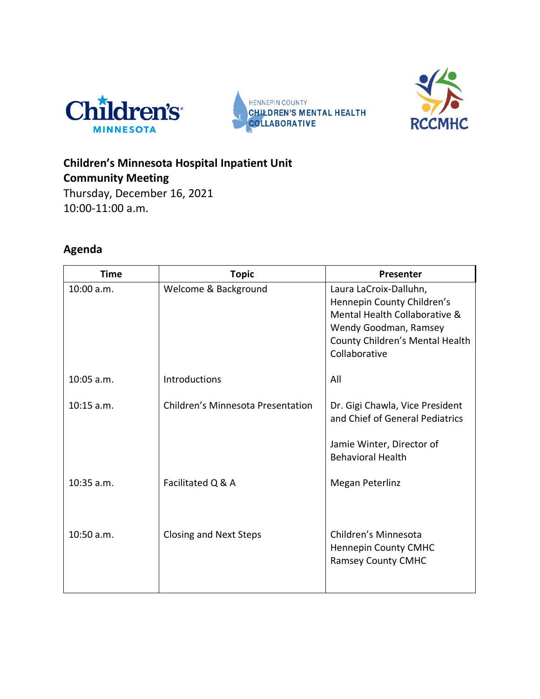





# **Children's Minnesota Hospital Inpatient Unit Community Meeting**

Thursday, December 16, 2021 10:00-11:00 a.m.

# **Agenda**

| <b>Time</b>  | <b>Topic</b>                      | Presenter                                                                                                                                                          |
|--------------|-----------------------------------|--------------------------------------------------------------------------------------------------------------------------------------------------------------------|
| 10:00 a.m.   | Welcome & Background              | Laura LaCroix-Dalluhn,<br>Hennepin County Children's<br>Mental Health Collaborative &<br>Wendy Goodman, Ramsey<br>County Children's Mental Health<br>Collaborative |
| $10:05$ a.m. | <b>Introductions</b>              | All                                                                                                                                                                |
| $10:15$ a.m. | Children's Minnesota Presentation | Dr. Gigi Chawla, Vice President<br>and Chief of General Pediatrics                                                                                                 |
|              |                                   | Jamie Winter, Director of<br><b>Behavioral Health</b>                                                                                                              |
| $10:35$ a.m. | Facilitated Q & A                 | Megan Peterlinz                                                                                                                                                    |
| 10:50 a.m.   | <b>Closing and Next Steps</b>     | Children's Minnesota<br><b>Hennepin County CMHC</b><br><b>Ramsey County CMHC</b>                                                                                   |